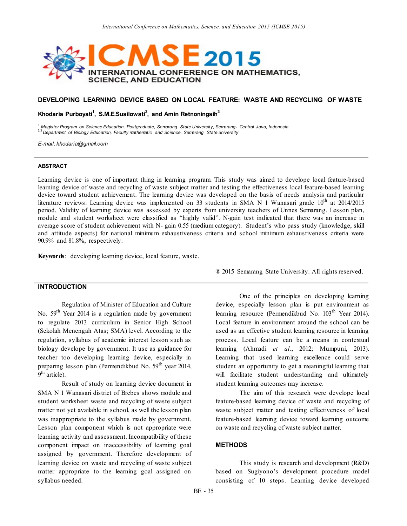

## **DEVELOPING LEARNING DEVICE BASED ON LOCAL FEATURE: WASTE AND RECYCLING OF WASTE**

**Khodaria Purboyati<sup>1</sup> , S.M.E.Susilowati<sup>2</sup> , and Amin Retnoningsih<sup>3</sup>**

*<sup>1</sup> Magister Program on Science Education, Postgraduate, Semarang State University, Semarang- Central Java, Indonesia.* 2,3 *Department of Biology Education, Faculty mathematic and Science, Semarang State university*

*E-mail: khodaria@gmail.com*

#### **ABSTRACT**

Learning device is one of important thing in learning program. This study was aimed to develope local feature-based learning device of waste and recycling of waste subject matter and testing the effectiveness local feature-based learning device toward student achievement. The learning device was developed on the basis of needs analysis and particular literature reviews. Learning device was implemented on 33 students in SMA N 1 Wanasari grade  $10<sup>th</sup>$  at 2014/2015 period. Validity of learning device was assessed by experts from university teachers of Unnes Semarang. Lesson plan, module and student worksheet were classified as "highly valid". N-gain test indicated that there was an increase in average score of student achievement with N- gain 0.55 (medium category). Student's who pass study (knowledge, skill and attitude aspects) for national minimum exhaustiveness criteria and school minimum exhaustiveness criteria were 90.9% and 81.8%, respectively.

**Keywords**: developing learning device, local feature, waste.

# **INTRODUCTION**

Regulation of Minister of Education and Culture No.  $59<sup>th</sup>$  Year 2014 is a regulation made by government to regulate 2013 curriculum in Senior High School (Sekolah Menengah Atas; SMA) level. According to the regulation, syllabus of academic interest lesson such as biology develope by government. It use as guidance for teacher too developing learning device, especially in preparing lesson plan (Permendikbud No. 59<sup>th</sup> year 2014, 9<sup>th</sup> article).

Result of study on learning device document in SMA N 1 Wanasari district of Brebes shows module and student worksheet waste and recycling of waste subject matter not yet available in school, as well the lesson plan was inappropriate to the syllabus made by government. Lesson plan component which is not appropriate were learning activity and assessment. Incompatibility of these component impact on inaccessibility of learning goal assigned by government. Therefore development of learning device on waste and recycling of waste subject matter appropriate to the learning goal assigned on syllabus needed.

® 2015 Semarang State University. All rights reserved.

One of the principles on developing learning device, especially lesson plan is put environment as learning resource (Permendikbud No. 103<sup>th</sup> Year 2014). Local feature in environment around the school can be used as an effective student learning resource in learning process. Local feature can be a means in contextual learning (Ahmadi *et al*., 2012; Mumpuni, 2013). Learning that used learning excellence could serve student an opportunity to get a meaningful learning that will facilitate student understanding and ultimately student learning outcomes may increase.

The aim of this research were develope local feature-based learning device of waste and recycling of waste subject matter and testing effectiveness of local feature-based learning device toward learning outcome on waste and recycling of waste subject matter.

## **METHODS**

This study is research and development (R&D) based on Sugiyono's development procedure model consisting of 10 steps. Learning device developed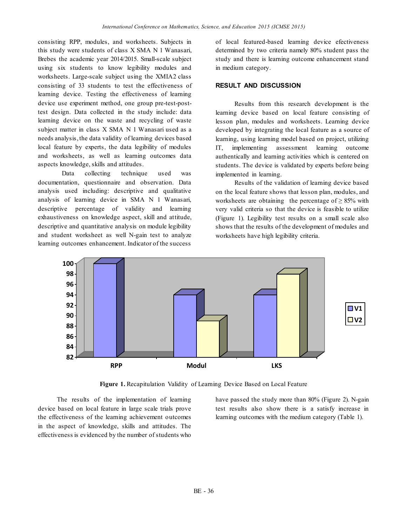consisting RPP, modules, and worksheets. Subjects in this study were students of class X SMA N 1 Wanasari, Brebes the academic year 2014/2015. Small-scale subject using six students to know legibility modules and worksheets. Large-scale subject using the XMIA2 class consisting of 33 students to test the effectiveness of learning device. Testing the effectiveness of learning device use experiment method, one group pre-test-posttest design. Data collected in the study include: data learning device on the waste and recycling of waste subject matter in class X SMA N 1 Wanasari used as a needs analysis, the data validity of learning devices based local feature by experts, the data legibility of modules and worksheets, as well as learning outcomes data aspects knowledge, skills and attitudes.

Data collecting technique used was documentation, questionnaire and observation. Data analysis used including: descriptive and qualitative analysis of learning device in SMA N 1 Wanasari, descriptive percentage of validity and learning exhaustiveness on knowledge aspect, skill and attitude, descriptive and quantitative analysis on module legibility and student worksheet as well N-gain test to analyze learning outcomes enhancement. Indicator of the success

of local featured-based learning device efectiveness determined by two criteria namely 80% student pass the study and there is learning outcome enhancement stand in medium category.

### **RESULT AND DISCUSSION**

Results from this research development is the learning device based on local feature consisting of lesson plan, modules and worksheets. Learning device developed by integrating the local feature as a source of learning, using learning model based on project, utilizing IT, implementing assessment learning outcome authentically and learning activities which is centered on students. The device is validated by experts before being implemented in learning.

Results of the validation of learning device based on the local feature shows that lesson plan, modules, and worksheets are obtaining the percentage of  $\geq$  85% with very valid criteria so that the device is feasible to utilize (Figure 1). Legibility test results on a small scale also shows that the results of the development of modules and worksheets have high legibility criteria.



**Figure 1.** Recapitulation Validity of Learning Device Based on Local Feature

The results of the implementation of learning device based on local feature in large scale trials prove the effectiveness of the learning achievement outcomes in the aspect of knowledge, skills and attitudes. The effectiveness is evidenced by the number of students who

have passed the study more than 80% (Figure 2). N-gain test results also show there is a satisfy increase in learning outcomes with the medium category (Table 1).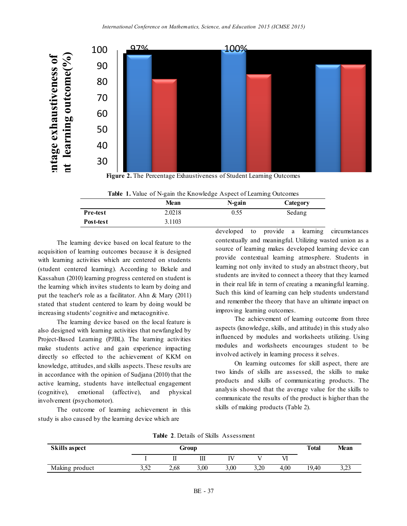



|  |  |  |  |  | Table 1. Value of N-gain the Knowledge Aspect of Learning Outcomes |  |  |  |  |
|--|--|--|--|--|--------------------------------------------------------------------|--|--|--|--|
|--|--|--|--|--|--------------------------------------------------------------------|--|--|--|--|

|           | Table 1. Value of N-gain the Knowledge Aspect of Learning Outcomes<br>Mean<br>N-gain<br>Category |      |        |  |  |  |
|-----------|--------------------------------------------------------------------------------------------------|------|--------|--|--|--|
|           |                                                                                                  |      |        |  |  |  |
| Pre-test  | 2.0218                                                                                           | 0.55 | Sedang |  |  |  |
| Post-test | 3.1103                                                                                           |      |        |  |  |  |
|           |                                                                                                  |      |        |  |  |  |

The learning device based on local feature to the acquisition of learning outcomes because it is designed with learning activities which are centered on students (student centered learning). According to Bekele and Kassahun (2010) learning progress centered on student is the learning which invites students to learn by doing and put the teacher's role as a facilitator. Ahn & Mary (2011) stated that student centered to learn by doing would be increasing students' cognitive and metacognitive.

The learning device based on the local feature is also designed with learning activities that newfangled by Project-Based Learning (PJBL). The learning activities make students active and gain experience impacting directly so effected to the achievement of KKM on knowledge, attitudes, and skills aspects. These results are in accordance with the opinion of Sudjana (2010) that the active learning, students have intellectual engagement (cognitive), emotional (affective), and physical involvement (psychomotor).

The outcome of learning achievement in this study is also caused by the learning device which are

contextually and meaningful. Utilizing wasted union as a developed to provide a learning circumstances source of learning makes developed learning device can provide contextual learning atmosphere. Students in learning not only invited to study an abstract theory, but students are invited to connect a theory that they learned in their real life in term of creating a meaningful learning. Such this kind of learning can help students understand and remember the theory that have an ultimate impact on improving learning outcomes.

> The achievement of learning outcome from three aspects (knowledge, skills, and attitude) in this study also influenced by modules and worksheets utilizing. Using modules and worksheets encourages student to be involved actively in learning process it selves.

> On learning outcomes for skill aspect, there are two kinds of skills are assessed, the skills to make products and skills of communicating products. The analysis showed that the average value for the skills to communicate the results of the product is higher than the skills of making products (Table 2).

| Skills aspect  | Group |      |      |      |      |          |       | <b>Mean</b>     |
|----------------|-------|------|------|------|------|----------|-------|-----------------|
|                |       | п    |      |      |      | Vl       |       |                 |
| Making product | 3.52  | 2,68 | 3,00 | 3,00 | 3,20 | 00,<br>4 | 19.40 | $\sim$<br>ر ∠ د |

**Table 2**. Details of Skills Assessment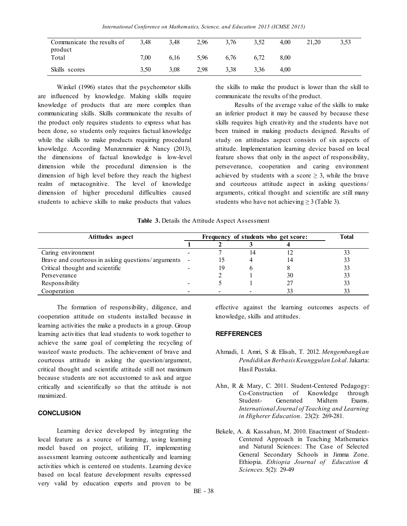| Communicate the results of<br>product | 3.48 | 3.48 | 2.96 | 3.76 | 3.52 | 4.00 | 21.20 | 3,53 |
|---------------------------------------|------|------|------|------|------|------|-------|------|
| Total                                 | 7.00 | 6.16 | 5.96 | 6.76 | 6.72 | 8.00 |       |      |
| Skills scores                         | 3,50 | 3.08 | 2.98 | 3.38 | 3.36 | 4.00 |       |      |

Winkel (1996) states that the psychomotor skills are influenced by knowledge. Making skills require knowledge of products that are more complex than communicating skills. Skills communicate the results of the product only requires students to express what has been done, so students only requires factual knowledge while the skills to make products requiring procedural knowledge. According Munzenmaier & Nancy (2013), the dimensions of factual knowledge is low-level dimension while the procedural dimension is the dimension of high level before they reach the highest realm of metacognitive. The level of knowledge dimension of higher procedural difficulties caused students to achieve skills to make products that values

the skills to make the product is lower than the skill to communicate the results of the product.

Results of the average value of the skills to make an inferior product it may be caused by because these skills requires high creativity and the students have not been trained in making products designed. Results of study on attitudes aspect consists of six aspects of attitude. Implementation learning device based on local feature shows that only in the aspect of responsibility, perseverance, cooperation and caring environment achieved by students with a score  $\geq$  3, while the brave and courteous attitude aspect in asking questions/ arguments, critical thought and scientific are still many students who have not achieving  $\geq$  3 (Table 3).

#### **Table 3.** Details the Attitude Aspect Assessment

| Atittudes aspect                                    |  | Frequency of students who get score: | <b>Total</b> |    |    |
|-----------------------------------------------------|--|--------------------------------------|--------------|----|----|
|                                                     |  |                                      |              |    |    |
| Caring environment                                  |  |                                      | 14           |    |    |
| Brave and courteous in asking questions/arguments - |  |                                      |              |    | 33 |
| Critical thought and scientific                     |  | 19                                   |              |    |    |
| Perseverance                                        |  |                                      |              | 30 |    |
| Responsibility                                      |  |                                      |              |    | 33 |
| Cooperation                                         |  |                                      |              |    |    |

The formation of responsibility, diligence, and cooperation attitude on students installed because in learning activities the make a products in a group. Group learning activities that lead students to work together to achieve the same goal of completing the recycling of wasteof waste products. The achievement of brave and courteous attitude in asking the question/argument, critical thought and scientific attitude still not maximum because students are not accustomed to ask and argue critically and scientifically so that the attitude is not maximized.

#### **CONCLUSION**

Learning device developed by integrating the local feature as a source of learning, using learning model based on project, utilizing IT, implementing assessment learning outcome authentically and learning activities which is centered on students. Learning device based on local feature development results expressed very valid by education experts and proven to be

effective against the learning outcomes aspects of knowledge, skills and attitudes.

# **REFFERENCES**

- Ahmadi, I. Amri, S & Elisah, T. 2012. *Mengembangkan Pendidikan Berbasis Keunggulan Lokal*. Jakarta: Hasil Pustaka.
- Ahn, R & Mary, C. 2011. Student-Centered Pedagogy: Co-Construction of Knowledge through Student- Generated Midtem Exams. *International Journal of Teaching and Learning in Higherer Education*. 23(2): 269-281.
- Bekele, A. & Kassahun, M. 2010. Enactment of Student-Centered Approach in Teaching Mathematics and Natural Sciences: The Case of Selected General Secondary Schools in Jimma Zone. Ethiopia. *Ethiopia Journal of Education & Sciences.* 5(2): 29-49

BE - 38